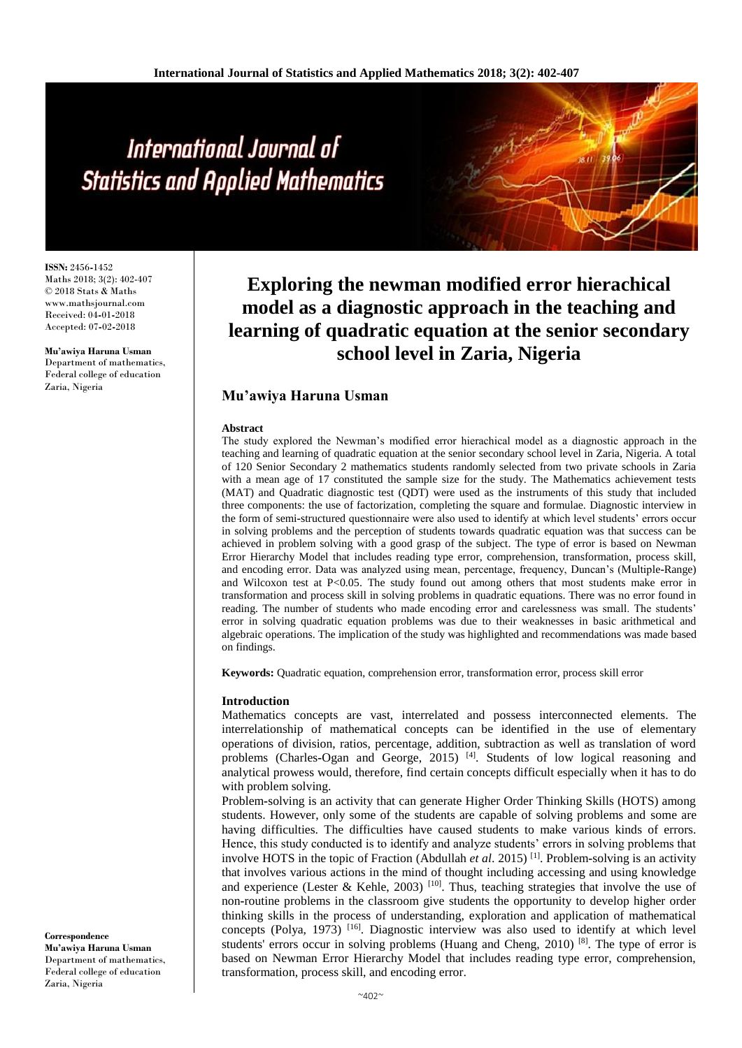# International Journal of **Statistics and Applied Mathematics**

**ISSN:** 2456**-**1452 Maths 2018; 3(2): 402-407 © 2018 Stats & Maths www.mathsjournal.com Received: 04**-**01**-**2018 Accepted: 07**-**02**-**2018

**Mu'awiya Haruna Usman** Department of mathematics, Federal college of education Zaria, Nigeria

**Exploring the newman modified error hierachical model as a diagnostic approach in the teaching and learning of quadratic equation at the senior secondary school level in Zaria, Nigeria**

# **Mu'awiya Haruna Usman**

### **Abstract**

The study explored the Newman's modified error hierachical model as a diagnostic approach in the teaching and learning of quadratic equation at the senior secondary school level in Zaria, Nigeria. A total of 120 Senior Secondary 2 mathematics students randomly selected from two private schools in Zaria with a mean age of 17 constituted the sample size for the study. The Mathematics achievement tests (MAT) and Quadratic diagnostic test (QDT) were used as the instruments of this study that included three components: the use of factorization, completing the square and formulae. Diagnostic interview in the form of semi**-**structured questionnaire were also used to identify at which level students' errors occur in solving problems and the perception of students towards quadratic equation was that success can be achieved in problem solving with a good grasp of the subject. The type of error is based on Newman Error Hierarchy Model that includes reading type error, comprehension, transformation, process skill, and encoding error. Data was analyzed using mean, percentage, frequency, Duncan's (Multiple**-**Range) and Wilcoxon test at  $P<0.05$ . The study found out among others that most students make error in transformation and process skill in solving problems in quadratic equations. There was no error found in reading. The number of students who made encoding error and carelessness was small. The students' error in solving quadratic equation problems was due to their weaknesses in basic arithmetical and algebraic operations. The implication of the study was highlighted and recommendations was made based on findings.

**Keywords:** Quadratic equation, comprehension error, transformation error, process skill error

### **Introduction**

Mathematics concepts are vast, interrelated and possess interconnected elements. The interrelationship of mathematical concepts can be identified in the use of elementary operations of division, ratios, percentage, addition, subtraction as well as translation of word problems (Charles**-**Ogan and George, 2015) [4]. Students of low logical reasoning and analytical prowess would, therefore, find certain concepts difficult especially when it has to do with problem solving.

Problem**-**solving is an activity that can generate Higher Order Thinking Skills (HOTS) among students. However, only some of the students are capable of solving problems and some are having difficulties. The difficulties have caused students to make various kinds of errors. Hence, this study conducted is to identify and analyze students' errors in solving problems that involve HOTS in the topic of Fraction (Abdullah *et al*. 2015) [1] . Problem**-**solving is an activity that involves various actions in the mind of thought including accessing and using knowledge and experience (Lester & Kehle, 2003)  $[10]$ . Thus, teaching strategies that involve the use of non**-**routine problems in the classroom give students the opportunity to develop higher order thinking skills in the process of understanding, exploration and application of mathematical concepts (Polya, 1973)  $^{[16]}$ . Diagnostic interview was also used to identify at which level students' errors occur in solving problems (Huang and Cheng, 2010)<sup>[8]</sup>. The type of error is based on Newman Error Hierarchy Model that includes reading type error, comprehension, transformation, process skill, and encoding error.

**Correspondence Mu'awiya Haruna Usman** Department of mathematics, Federal college of education Zaria, Nigeria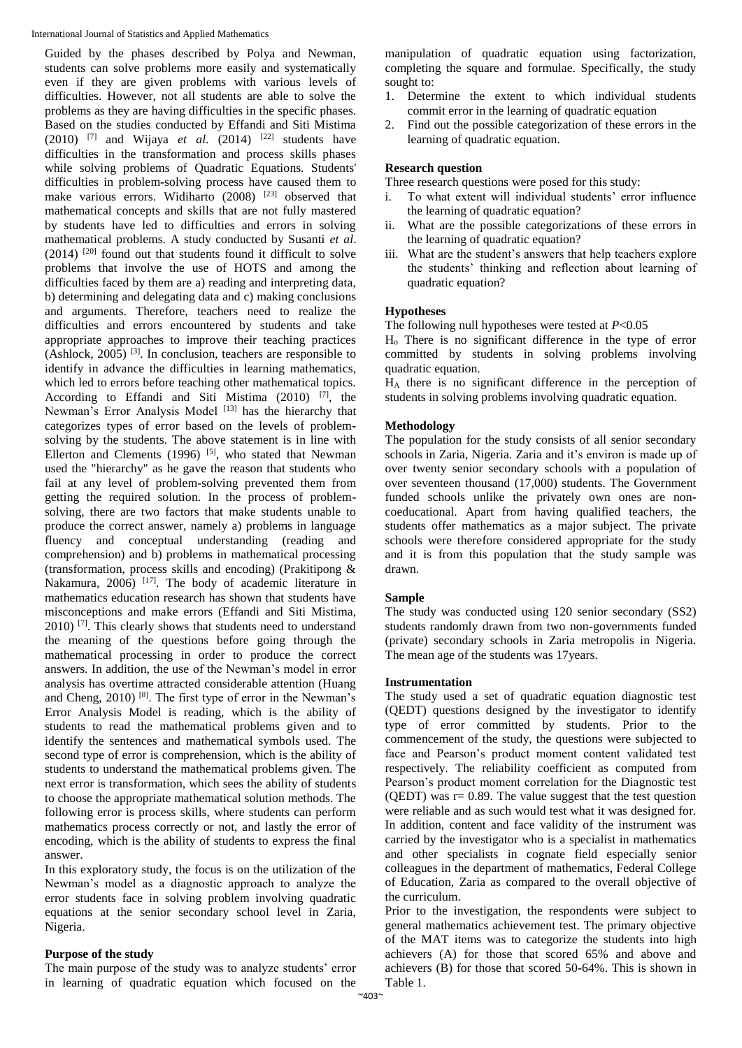Guided by the phases described by Polya and Newman, students can solve problems more easily and systematically even if they are given problems with various levels of difficulties. However, not all students are able to solve the problems as they are having difficulties in the specific phases. Based on the studies conducted by Effandi and Siti Mistima (2010) <sup>[7]</sup> and Wijaya *et al.* (2014) <sup>[22]</sup> students have difficulties in the transformation and process skills phases while solving problems of Quadratic Equations. Students' difficulties in problem**-**solving process have caused them to make various errors. Widiharto (2008) <sup>[23]</sup> observed that mathematical concepts and skills that are not fully mastered by students have led to difficulties and errors in solving mathematical problems. A study conducted by Susanti *et al*.  $(2014)$  <sup>[20]</sup> found out that students found it difficult to solve problems that involve the use of HOTS and among the difficulties faced by them are a) reading and interpreting data, b) determining and delegating data and c) making conclusions and arguments. Therefore, teachers need to realize the difficulties and errors encountered by students and take appropriate approaches to improve their teaching practices (Ashlock, 2005) [3]. In conclusion, teachers are responsible to identify in advance the difficulties in learning mathematics, which led to errors before teaching other mathematical topics. According to Effandi and Siti Mistima  $(2010)$  [7], the Newman's Error Analysis Model [13] has the hierarchy that categorizes types of error based on the levels of problemsolving by the students. The above statement is in line with Ellerton and Clements  $(1996)$  <sup>[5]</sup>, who stated that Newman used the "hierarchy" as he gave the reason that students who fail at any level of problem**-**solving prevented them from getting the required solution. In the process of problemsolving, there are two factors that make students unable to produce the correct answer, namely a) problems in language fluency and conceptual understanding (reading and comprehension) and b) problems in mathematical processing (transformation, process skills and encoding) (Prakitipong & Nakamura, 2006) <sup>[17]</sup>. The body of academic literature in mathematics education research has shown that students have misconceptions and make errors (Effandi and Siti Mistima,  $2010$ ) <sup>[7]</sup>. This clearly shows that students need to understand the meaning of the questions before going through the mathematical processing in order to produce the correct answers. In addition, the use of the Newman's model in error analysis has overtime attracted considerable attention (Huang and Cheng, 2010) [8]. The first type of error in the Newman's Error Analysis Model is reading, which is the ability of students to read the mathematical problems given and to identify the sentences and mathematical symbols used. The second type of error is comprehension, which is the ability of students to understand the mathematical problems given. The next error is transformation, which sees the ability of students to choose the appropriate mathematical solution methods. The following error is process skills, where students can perform mathematics process correctly or not, and lastly the error of encoding, which is the ability of students to express the final answer.

In this exploratory study, the focus is on the utilization of the Newman's model as a diagnostic approach to analyze the error students face in solving problem involving quadratic equations at the senior secondary school level in Zaria, Nigeria.

## **Purpose of the study**

The main purpose of the study was to analyze students' error in learning of quadratic equation which focused on the manipulation of quadratic equation using factorization, completing the square and formulae. Specifically, the study sought to:

- 1. Determine the extent to which individual students commit error in the learning of quadratic equation
- 2. Find out the possible categorization of these errors in the learning of quadratic equation.

# **Research question**

Three research questions were posed for this study:

- i. To what extent will individual students' error influence the learning of quadratic equation?
- ii. What are the possible categorizations of these errors in the learning of quadratic equation?
- iii. What are the student's answers that help teachers explore the students' thinking and reflection about learning of quadratic equation?

# **Hypotheses**

The following null hypotheses were tested at *P*<0.05

H<sup>o</sup> There is no significant difference in the type of error committed by students in solving problems involving quadratic equation.

H<sup>A</sup> there is no significant difference in the perception of students in solving problems involving quadratic equation.

## **Methodology**

The population for the study consists of all senior secondary schools in Zaria, Nigeria. Zaria and it's environ is made up of over twenty senior secondary schools with a population of over seventeen thousand (17,000) students. The Government funded schools unlike the privately own ones are noncoeducational. Apart from having qualified teachers, the students offer mathematics as a major subject. The private schools were therefore considered appropriate for the study and it is from this population that the study sample was drawn.

# **Sample**

The study was conducted using 120 senior secondary (SS2) students randomly drawn from two non**-**governments funded (private) secondary schools in Zaria metropolis in Nigeria. The mean age of the students was 17years.

## **Instrumentation**

The study used a set of quadratic equation diagnostic test (QEDT) questions designed by the investigator to identify type of error committed by students. Prior to the commencement of the study, the questions were subjected to face and Pearson's product moment content validated test respectively. The reliability coefficient as computed from Pearson's product moment correlation for the Diagnostic test (QEDT) was  $r = 0.89$ . The value suggest that the test question were reliable and as such would test what it was designed for. In addition, content and face validity of the instrument was carried by the investigator who is a specialist in mathematics and other specialists in cognate field especially senior colleagues in the department of mathematics, Federal College of Education, Zaria as compared to the overall objective of the curriculum.

Prior to the investigation, the respondents were subject to general mathematics achievement test. The primary objective of the MAT items was to categorize the students into high achievers (A) for those that scored 65% and above and achievers (B) for those that scored 50**-**64%. This is shown in Table 1.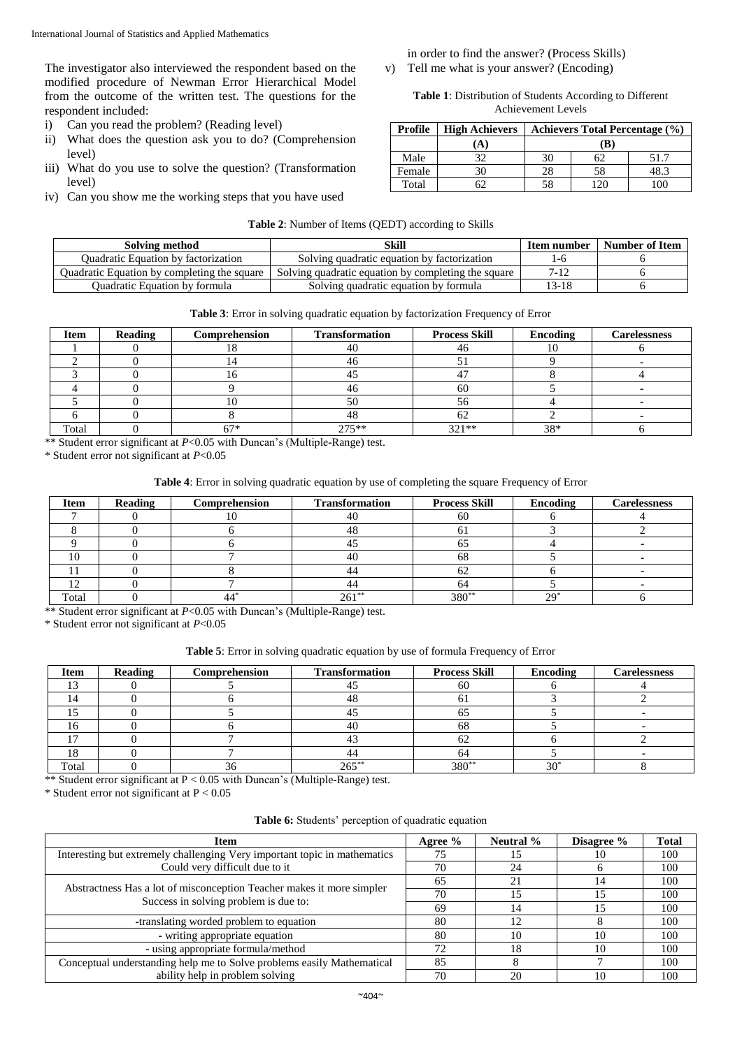The investigator also interviewed the respondent based on the modified procedure of Newman Error Hierarchical Model from the outcome of the written test. The questions for the respondent included:

- i) Can you read the problem? (Reading level)
- ii) What does the question ask you to do? (Comprehension level)
- iii) What do you use to solve the question? (Transformation level)
- iv) Can you show me the working steps that you have used

# in order to find the answer? (Process Skills)

v) Tell me what is your answer? (Encoding)

## **Table 1**: Distribution of Students According to Different Achievement Levels

| Profile | <b>High Achievers</b> | Achievers Total Percentage (%) |          |      |  |
|---------|-----------------------|--------------------------------|----------|------|--|
|         | A)                    |                                |          |      |  |
| Male    | 20                    | 30                             |          | 51.7 |  |
| Female  | 30                    | 28                             | 58       | 48.3 |  |
| Total   |                       | 58                             | $\gamma$ |      |  |

|  |  | <b>Table 2:</b> Number of Items (QEDT) according to Skills |  |
|--|--|------------------------------------------------------------|--|
|  |  |                                                            |  |

| Solving method                              | Skill                                               | Item number | Number of Item |
|---------------------------------------------|-----------------------------------------------------|-------------|----------------|
| <b>Ouadratic Equation by factorization</b>  | Solving quadratic equation by factorization         | l-c         |                |
| Quadratic Equation by completing the square | Solving quadratic equation by completing the square | 7-12        |                |
| <b>Ouadratic Equation by formula</b>        | Solving quadratic equation by formula               | 13-18       |                |

## **Table 3**: Error in solving quadratic equation by factorization Frequency of Error

| <b>Item</b> | <b>Reading</b> | Comprehension | <b>Transformation</b> | <b>Process Skill</b> | <b>Encoding</b> | <b>Carelessness</b> |
|-------------|----------------|---------------|-----------------------|----------------------|-----------------|---------------------|
|             |                |               |                       | 46                   |                 |                     |
|             |                |               |                       |                      |                 |                     |
|             |                |               |                       |                      |                 |                     |
|             |                |               |                       | 60                   |                 |                     |
|             |                |               |                       | 56                   |                 |                     |
|             |                |               |                       | 62                   |                 |                     |
| Total       |                | 67*           | $775**$               | $321**$              | 38*             |                     |

\*\* Student error significant at *P*<0.05 with Duncan's (Multiple**-**Range) test.

\* Student error not significant at *P*<0.05

# **Table 4**: Error in solving quadratic equation by use of completing the square Frequency of Error

| Item  | Reading | Comprehension | <b>Transformation</b> | <b>Process Skill</b> | Encoding | <b>Carelessness</b> |
|-------|---------|---------------|-----------------------|----------------------|----------|---------------------|
|       |         |               |                       | 60                   |          |                     |
|       |         |               |                       |                      |          |                     |
|       |         |               |                       | ບມ                   |          |                     |
|       |         |               |                       | 68                   |          |                     |
|       |         |               |                       | OΖ                   |          |                     |
|       |         |               |                       | 64                   |          |                     |
| Total |         |               | $261***$              | $380**$              | ാവ       |                     |

\*\* Student error significant at *P*<0.05 with Duncan's (Multiple**-**Range) test.

\* Student error not significant at *P*<0.05

## **Table 5**: Error in solving quadratic equation by use of formula Frequency of Error

| <b>Item</b> | Reading | Comprehension | <b>Transformation</b> | <b>Process Skill</b> | <b>Encoding</b> | <b>Carelessness</b> |
|-------------|---------|---------------|-----------------------|----------------------|-----------------|---------------------|
|             |         |               |                       | 60                   |                 |                     |
|             |         |               | 47                    | UΙ                   |                 |                     |
|             |         |               |                       | OЭ                   |                 |                     |
|             |         |               |                       | 68                   |                 |                     |
|             |         |               |                       | 62                   |                 |                     |
|             |         |               | 44                    | 64                   |                 |                     |
| Total       |         |               | $265^{\circ}$         | 380*                 | $30^\circ$      |                     |

\*\* Student error significant at P < 0.05 with Duncan's (Multiple**-**Range) test.

 $*$  Student error not significant at  $P < 0.05$ 

| Table 6: Students' perception of quadratic equation |  |  |  |
|-----------------------------------------------------|--|--|--|
|-----------------------------------------------------|--|--|--|

| <b>Item</b>                                                               | Agree $%$                                                                                                                                                                                          | Neutral % | Disagree % | <b>Total</b> |
|---------------------------------------------------------------------------|----------------------------------------------------------------------------------------------------------------------------------------------------------------------------------------------------|-----------|------------|--------------|
| Interesting but extremely challenging Very important topic in mathematics | 75                                                                                                                                                                                                 |           | 10         | 100          |
| Could very difficult due to it                                            | 70                                                                                                                                                                                                 | 24        |            | 100          |
|                                                                           | 65                                                                                                                                                                                                 |           |            | 100          |
|                                                                           | Abstractness Has a lot of misconception Teacher makes it more simpler<br>70<br>Success in solving problem is due to:<br>69<br>14<br>80<br>12<br>80<br>10<br>72<br>18<br>10<br>85<br>70<br>20<br>10 |           |            | 100          |
|                                                                           |                                                                                                                                                                                                    | 100       |            |              |
| -translating worded problem to equation                                   |                                                                                                                                                                                                    |           |            | 100          |
| - writing appropriate equation                                            |                                                                                                                                                                                                    |           |            | 100          |
| - using appropriate formula/method                                        |                                                                                                                                                                                                    |           |            | 100          |
| Conceptual understanding help me to Solve problems easily Mathematical    |                                                                                                                                                                                                    |           |            | 100          |
| ability help in problem solving                                           |                                                                                                                                                                                                    |           |            | 100          |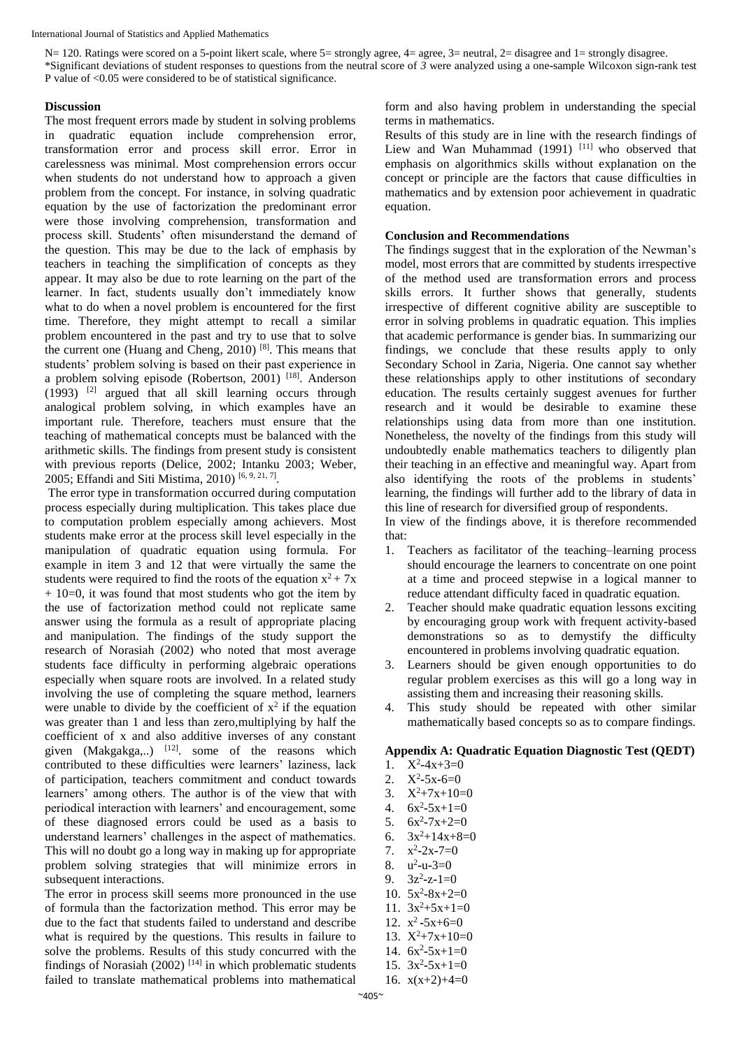N= 120. Ratings were scored on a 5-point likert scale, where 5= strongly agree, 4= agree, 3= neutral, 2= disagree and 1= strongly disagree. \*Significant deviations of student responses to questions from the neutral score of *3* were analyzed using a one**-**sample Wilcoxon sign**-**rank test P value of <0.05 were considered to be of statistical significance.

## **Discussion**

The most frequent errors made by student in solving problems in quadratic equation include comprehension error, transformation error and process skill error. Error in carelessness was minimal. Most comprehension errors occur when students do not understand how to approach a given problem from the concept. For instance, in solving quadratic equation by the use of factorization the predominant error were those involving comprehension, transformation and process skill. Students' often misunderstand the demand of the question. This may be due to the lack of emphasis by teachers in teaching the simplification of concepts as they appear. It may also be due to rote learning on the part of the learner. In fact, students usually don't immediately know what to do when a novel problem is encountered for the first time. Therefore, they might attempt to recall a similar problem encountered in the past and try to use that to solve the current one (Huang and Cheng, 2010)<sup>[8]</sup>. This means that students' problem solving is based on their past experience in a problem solving episode (Robertson, 2001) [18]. Anderson  $(1993)$  <sup>[2]</sup> argued that all skill learning occurs through analogical problem solving, in which examples have an important rule. Therefore, teachers must ensure that the teaching of mathematical concepts must be balanced with the arithmetic skills. The findings from present study is consistent with previous reports (Delice, 2002; Intanku 2003; Weber, 2005; Effandi and Siti Mistima, 2010)<sup>[6, 9, 21, 7]</sup>.

The error type in transformation occurred during computation process especially during multiplication. This takes place due to computation problem especially among achievers. Most students make error at the process skill level especially in the manipulation of quadratic equation using formula. For example in item 3 and 12 that were virtually the same the students were required to find the roots of the equation  $x^2 + 7x$  $+ 10=0$ , it was found that most students who got the item by the use of factorization method could not replicate same answer using the formula as a result of appropriate placing and manipulation. The findings of the study support the research of Norasiah (2002) who noted that most average students face difficulty in performing algebraic operations especially when square roots are involved. In a related study involving the use of completing the square method, learners were unable to divide by the coefficient of  $x^2$  if the equation was greater than 1 and less than zero,multiplying by half the coefficient of x and also additive inverses of any constant given (Makgakga,..)  $^{[12]}$  some of the reasons which contributed to these difficulties were learners' laziness, lack of participation, teachers commitment and conduct towards learners' among others. The author is of the view that with periodical interaction with learners' and encouragement, some of these diagnosed errors could be used as a basis to understand learners' challenges in the aspect of mathematics. This will no doubt go a long way in making up for appropriate problem solving strategies that will minimize errors in subsequent interactions.

The error in process skill seems more pronounced in the use of formula than the factorization method. This error may be due to the fact that students failed to understand and describe what is required by the questions. This results in failure to solve the problems. Results of this study concurred with the findings of Norasiah (2002)  $[14]$  in which problematic students failed to translate mathematical problems into mathematical form and also having problem in understanding the special terms in mathematics.

Results of this study are in line with the research findings of Liew and Wan Muhammad (1991) [11] who observed that emphasis on algorithmics skills without explanation on the concept or principle are the factors that cause difficulties in mathematics and by extension poor achievement in quadratic equation.

## **Conclusion and Recommendations**

The findings suggest that in the exploration of the Newman's model, most errors that are committed by students irrespective of the method used are transformation errors and process skills errors. It further shows that generally, students irrespective of different cognitive ability are susceptible to error in solving problems in quadratic equation. This implies that academic performance is gender bias. In summarizing our findings, we conclude that these results apply to only Secondary School in Zaria, Nigeria. One cannot say whether these relationships apply to other institutions of secondary education. The results certainly suggest avenues for further research and it would be desirable to examine these relationships using data from more than one institution. Nonetheless, the novelty of the findings from this study will undoubtedly enable mathematics teachers to diligently plan their teaching in an effective and meaningful way. Apart from also identifying the roots of the problems in students' learning, the findings will further add to the library of data in this line of research for diversified group of respondents.

In view of the findings above, it is therefore recommended that:

- 1. Teachers as facilitator of the teaching–learning process should encourage the learners to concentrate on one point at a time and proceed stepwise in a logical manner to reduce attendant difficulty faced in quadratic equation.
- Teacher should make quadratic equation lessons exciting by encouraging group work with frequent activity**-**based demonstrations so as to demystify the difficulty encountered in problems involving quadratic equation.
- 3. Learners should be given enough opportunities to do regular problem exercises as this will go a long way in assisting them and increasing their reasoning skills.
- 4. This study should be repeated with other similar mathematically based concepts so as to compare findings.

## **Appendix A: Quadratic Equation Diagnostic Test (QEDT)**

- 1.  $X^2-4x+3=0$
- 2.  $X^2 5x 6 = 0$
- 3.  $X^2+7x+10=0$
- 4.  $6x^2-5x+1=0$
- 5.  $6x^2 7x + 2 = 0$
- 6.  $3x^2+14x+8=0$
- 7.  $x^2 2x 7 = 0$
- 8.  $u^2-u-3=0$
- 9.  $3z^2$ -z-1=0
- 10.  $5x^2-8x+2=0$
- 11.  $3x^2+5x+1=0$
- 12.  $x^2 5x + 6 = 0$
- 13.  $X^2+7x+10=0$
- 14.  $6x^2-5x+1=0$
- 15.  $3x^2-5x+1=0$
- 16.  $x(x+2)+4=0$